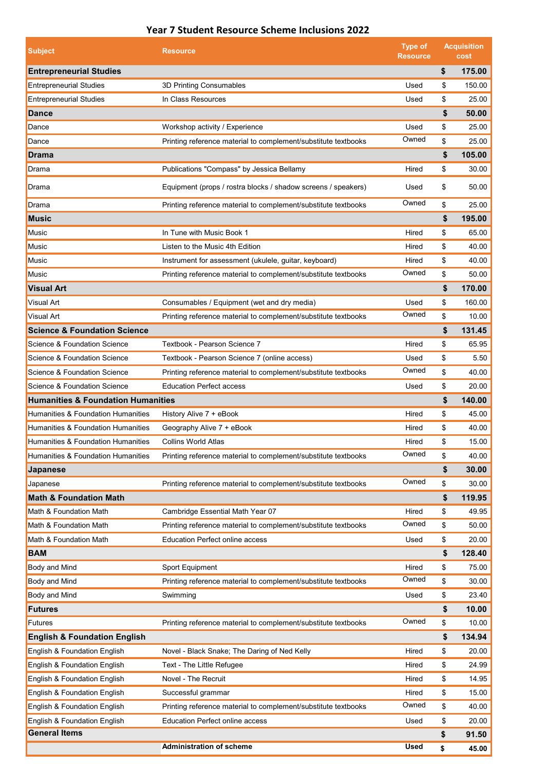## **Year 7 Student Resource Scheme Inclusions 2022**

| <b>Subject</b>                                | <b>Resource</b>                                                | <b>Type of</b><br><b>Resource</b> | <b>Acquisition</b><br>cost |        |
|-----------------------------------------------|----------------------------------------------------------------|-----------------------------------|----------------------------|--------|
| <b>Entrepreneurial Studies</b>                |                                                                |                                   | \$                         | 175.00 |
| <b>Entrepreneurial Studies</b>                | 3D Printing Consumables                                        | Used                              | \$                         | 150.00 |
| <b>Entrepreneurial Studies</b>                | In Class Resources                                             | Used                              | \$                         | 25.00  |
| <b>Dance</b>                                  |                                                                |                                   | \$                         | 50.00  |
| Dance                                         | Workshop activity / Experience                                 | Used                              | \$                         | 25.00  |
| Dance                                         | Printing reference material to complement/substitute textbooks | Owned                             | \$                         | 25.00  |
| <b>Drama</b>                                  |                                                                |                                   | \$                         | 105.00 |
| Drama                                         | Publications "Compass" by Jessica Bellamy                      | Hired                             | \$                         | 30.00  |
| Drama                                         | Equipment (props / rostra blocks / shadow screens / speakers)  | Used                              | \$                         | 50.00  |
| Drama                                         | Printing reference material to complement/substitute textbooks | Owned                             | \$                         | 25.00  |
| <b>Music</b>                                  |                                                                |                                   | \$                         | 195.00 |
| Music                                         | In Tune with Music Book 1                                      | Hired                             | \$                         | 65.00  |
| Music                                         | Listen to the Music 4th Edition                                | Hired                             | \$                         | 40.00  |
| Music                                         | Instrument for assessment (ukulele, guitar, keyboard)          | Hired                             | \$                         | 40.00  |
| Music                                         | Printing reference material to complement/substitute textbooks | Owned                             | \$                         | 50.00  |
| <b>Visual Art</b>                             |                                                                |                                   | \$                         | 170.00 |
| Visual Art                                    | Consumables / Equipment (wet and dry media)                    | Used                              | \$                         | 160.00 |
| Visual Art                                    | Printing reference material to complement/substitute textbooks | Owned                             | \$                         | 10.00  |
| <b>Science &amp; Foundation Science</b>       |                                                                |                                   | \$                         | 131.45 |
| Science & Foundation Science                  | Textbook - Pearson Science 7                                   | Hired                             | \$                         | 65.95  |
| Science & Foundation Science                  | Textbook - Pearson Science 7 (online access)                   | Used                              | \$                         | 5.50   |
| Science & Foundation Science                  | Printing reference material to complement/substitute textbooks | Owned                             | \$                         | 40.00  |
| Science & Foundation Science                  | <b>Education Perfect access</b>                                | Used                              | \$                         | 20.00  |
| <b>Humanities &amp; Foundation Humanities</b> |                                                                |                                   | \$                         | 140.00 |
| Humanities & Foundation Humanities            | History Alive 7 + eBook                                        | Hired                             | \$                         | 45.00  |
| Humanities & Foundation Humanities            | Geography Alive 7 + eBook                                      | Hired                             | \$                         | 40.00  |
| Humanities & Foundation Humanities            | <b>Collins World Atlas</b>                                     | Hired                             | \$                         | 15.00  |
| Humanities & Foundation Humanities            | Printing reference material to complement/substitute textbooks | Owned                             | \$                         | 40.00  |
| Japanese                                      |                                                                |                                   | \$                         | 30.00  |
| Japanese                                      | Printing reference material to complement/substitute textbooks | Owned                             | \$                         | 30.00  |
| <b>Math &amp; Foundation Math</b>             |                                                                |                                   | \$                         | 119.95 |
| Math & Foundation Math                        | Cambridge Essential Math Year 07                               | Hired                             | \$                         | 49.95  |
| Math & Foundation Math                        | Printing reference material to complement/substitute textbooks | Owned                             | \$                         | 50.00  |
| Math & Foundation Math                        | <b>Education Perfect online access</b>                         | Used                              | \$                         | 20.00  |
| <b>BAM</b>                                    |                                                                |                                   | \$                         | 128.40 |
| Body and Mind                                 | Sport Equipment                                                | Hired                             | \$                         | 75.00  |
| Body and Mind                                 | Printing reference material to complement/substitute textbooks | Owned                             | \$                         | 30.00  |
| Body and Mind                                 | Swimming                                                       | Used                              | \$                         | 23.40  |
| <b>Futures</b>                                |                                                                |                                   | \$                         | 10.00  |
| Futures                                       | Printing reference material to complement/substitute textbooks | Owned                             | \$                         | 10.00  |
| <b>English &amp; Foundation English</b>       |                                                                |                                   | \$                         | 134.94 |
| English & Foundation English                  | Novel - Black Snake; The Daring of Ned Kelly                   | Hired                             | \$                         | 20.00  |
| English & Foundation English                  | Text - The Little Refugee                                      | Hired                             | \$                         | 24.99  |
| English & Foundation English                  | Novel - The Recruit                                            | Hired                             | \$                         | 14.95  |
| English & Foundation English                  | Successful grammar                                             | Hired                             | \$                         | 15.00  |
| English & Foundation English                  | Printing reference material to complement/substitute textbooks | Owned                             | \$                         | 40.00  |
| English & Foundation English                  | <b>Education Perfect online access</b>                         | Used                              | \$                         | 20.00  |
| <b>General Items</b>                          |                                                                |                                   | \$                         | 91.50  |
|                                               | <b>Administration of scheme</b>                                | Used                              | \$                         | 45.00  |